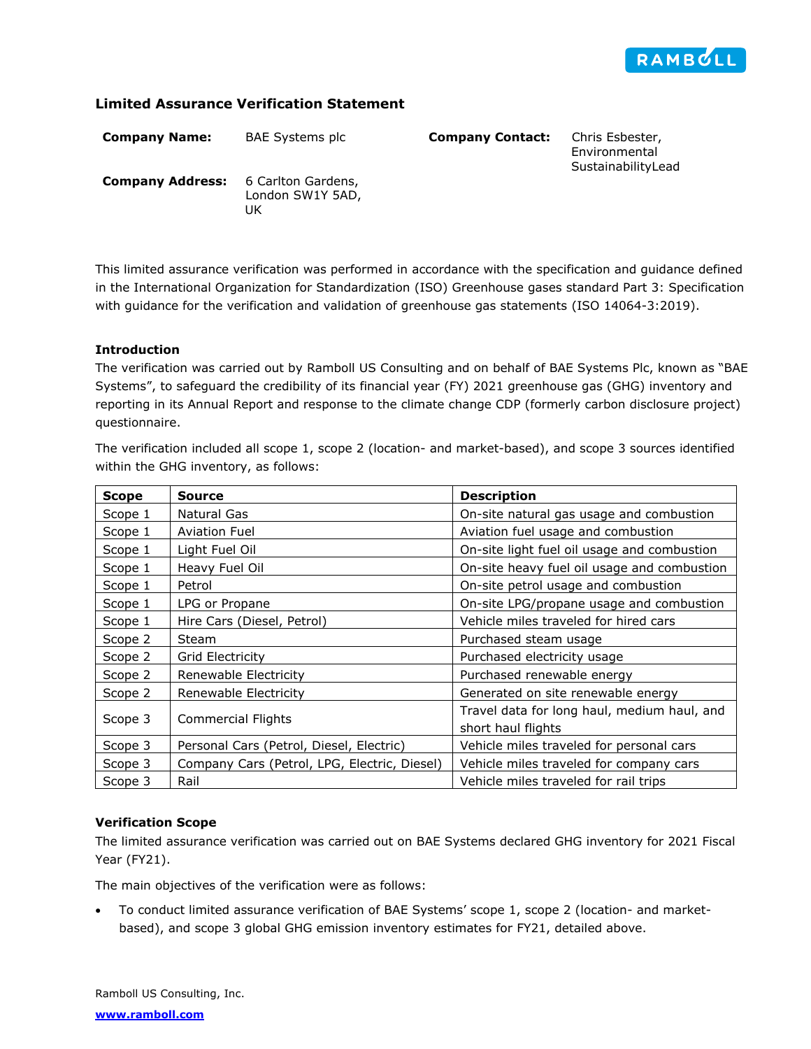

# **Limited Assurance Verification Statement**

| <b>Company Name:</b>    | BAE Systems plc                              | <b>Company Contact:</b> | Chris Esbester,<br>Environmental<br>SustainabilityLead |
|-------------------------|----------------------------------------------|-------------------------|--------------------------------------------------------|
| <b>Company Address:</b> | 6 Carlton Gardens,<br>London SW1Y 5AD,<br>UK |                         |                                                        |

This limited assurance verification was performed in accordance with the specification and guidance defined in the International Organization for Standardization (ISO) Greenhouse gases standard Part 3: Specification with guidance for the verification and validation of greenhouse gas statements (ISO 14064-3:2019).

## **Introduction**

The verification was carried out by Ramboll US Consulting and on behalf of BAE Systems Plc, known as "BAE Systems", to safeguard the credibility of its financial year (FY) 2021 greenhouse gas (GHG) inventory and reporting in its Annual Report and response to the climate change CDP (formerly carbon disclosure project) questionnaire.

The verification included all scope 1, scope 2 (location- and market-based), and scope 3 sources identified within the GHG inventory, as follows:

| <b>Scope</b>                    | Source                                       | <b>Description</b>                          |
|---------------------------------|----------------------------------------------|---------------------------------------------|
| Scope 1                         | Natural Gas                                  | On-site natural gas usage and combustion    |
| <b>Aviation Fuel</b><br>Scope 1 |                                              | Aviation fuel usage and combustion          |
| Scope 1                         | Light Fuel Oil                               | On-site light fuel oil usage and combustion |
| Scope 1                         | Heavy Fuel Oil                               | On-site heavy fuel oil usage and combustion |
| Scope 1                         | Petrol                                       | On-site petrol usage and combustion         |
| Scope 1                         | LPG or Propane                               | On-site LPG/propane usage and combustion    |
| Scope 1                         | Hire Cars (Diesel, Petrol)                   | Vehicle miles traveled for hired cars       |
| Scope 2                         | Steam                                        | Purchased steam usage                       |
| Scope 2                         | Grid Electricity                             | Purchased electricity usage                 |
| Scope 2                         | Renewable Electricity                        | Purchased renewable energy                  |
| Scope 2                         | Renewable Electricity                        | Generated on site renewable energy          |
| Scope 3                         |                                              | Travel data for long haul, medium haul, and |
|                                 | Commercial Flights                           | short haul flights                          |
| Scope 3                         | Personal Cars (Petrol, Diesel, Electric)     | Vehicle miles traveled for personal cars    |
| Scope 3                         | Company Cars (Petrol, LPG, Electric, Diesel) | Vehicle miles traveled for company cars     |
| Scope 3                         | Rail                                         | Vehicle miles traveled for rail trips       |

### **Verification Scope**

The limited assurance verification was carried out on BAE Systems declared GHG inventory for 2021 Fiscal Year (FY21).

The main objectives of the verification were as follows:

• To conduct limited assurance verification of BAE Systems' scope 1, scope 2 (location- and marketbased), and scope 3 global GHG emission inventory estimates for FY21, detailed above.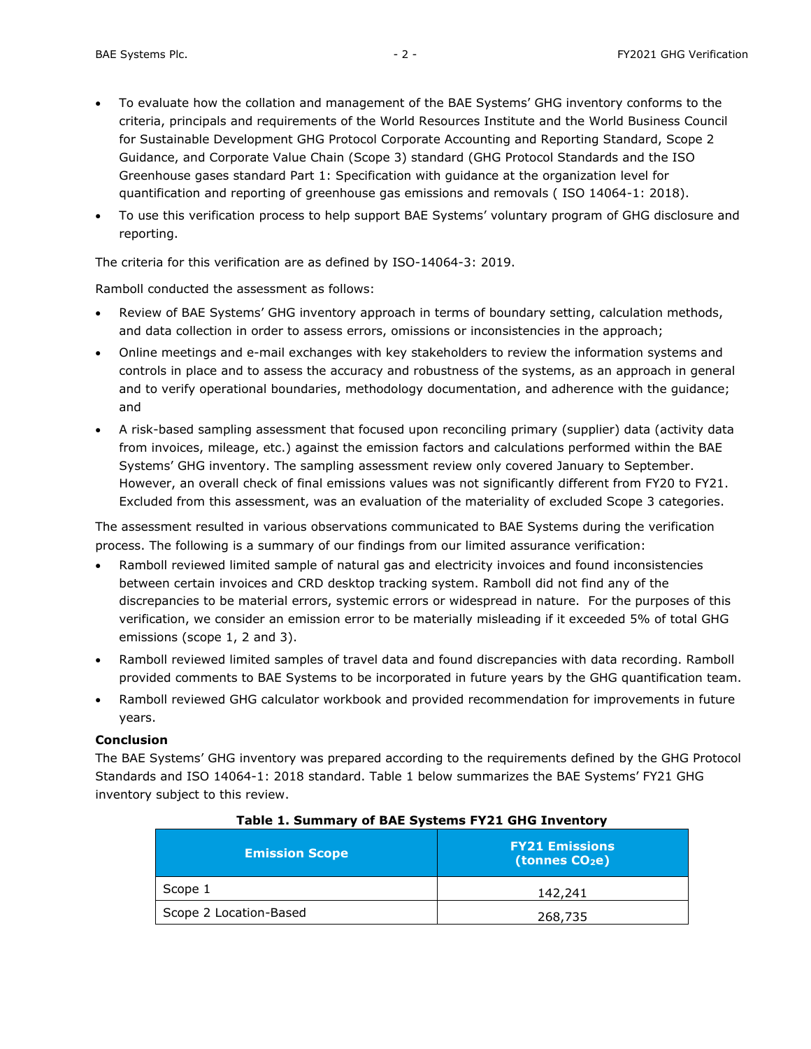- To evaluate how the collation and management of the BAE Systems' GHG inventory conforms to the criteria, principals and requirements of the World Resources Institute and the World Business Council for Sustainable Development GHG Protocol Corporate Accounting and Reporting Standard, Scope 2 Guidance, and Corporate Value Chain (Scope 3) standard (GHG Protocol Standards and the ISO Greenhouse gases standard Part 1: Specification with guidance at the organization level for quantification and reporting of greenhouse gas emissions and removals ( ISO 14064-1: 2018).
- To use this verification process to help support BAE Systems' voluntary program of GHG disclosure and reporting.

The criteria for this verification are as defined by ISO-14064-3: 2019.

Ramboll conducted the assessment as follows:

- Review of BAE Systems' GHG inventory approach in terms of boundary setting, calculation methods, and data collection in order to assess errors, omissions or inconsistencies in the approach;
- Online meetings and e-mail exchanges with key stakeholders to review the information systems and controls in place and to assess the accuracy and robustness of the systems, as an approach in general and to verify operational boundaries, methodology documentation, and adherence with the guidance; and
- A risk-based sampling assessment that focused upon reconciling primary (supplier) data (activity data from invoices, mileage, etc.) against the emission factors and calculations performed within the BAE Systems' GHG inventory. The sampling assessment review only covered January to September. However, an overall check of final emissions values was not significantly different from FY20 to FY21. Excluded from this assessment, was an evaluation of the materiality of excluded Scope 3 categories.

The assessment resulted in various observations communicated to BAE Systems during the verification process. The following is a summary of our findings from our limited assurance verification:

- Ramboll reviewed limited sample of natural gas and electricity invoices and found inconsistencies between certain invoices and CRD desktop tracking system. Ramboll did not find any of the discrepancies to be material errors, systemic errors or widespread in nature. For the purposes of this verification, we consider an emission error to be materially misleading if it exceeded 5% of total GHG emissions (scope 1, 2 and 3).
- Ramboll reviewed limited samples of travel data and found discrepancies with data recording. Ramboll provided comments to BAE Systems to be incorporated in future years by the GHG quantification team.
- Ramboll reviewed GHG calculator workbook and provided recommendation for improvements in future years.

## **Conclusion**

The BAE Systems' GHG inventory was prepared according to the requirements defined by the GHG Protocol Standards and ISO 14064-1: 2018 standard. Table 1 below summarizes the BAE Systems' FY21 GHG inventory subject to this review.

| <b>Emission Scope</b>  | <b>FY21 Emissions</b><br>(tonnes $CO2e$ ) |  |  |
|------------------------|-------------------------------------------|--|--|
| Scope 1                | 142,241                                   |  |  |
| Scope 2 Location-Based | 268,735                                   |  |  |

#### **Table 1. Summary of BAE Systems FY21 GHG Inventory**